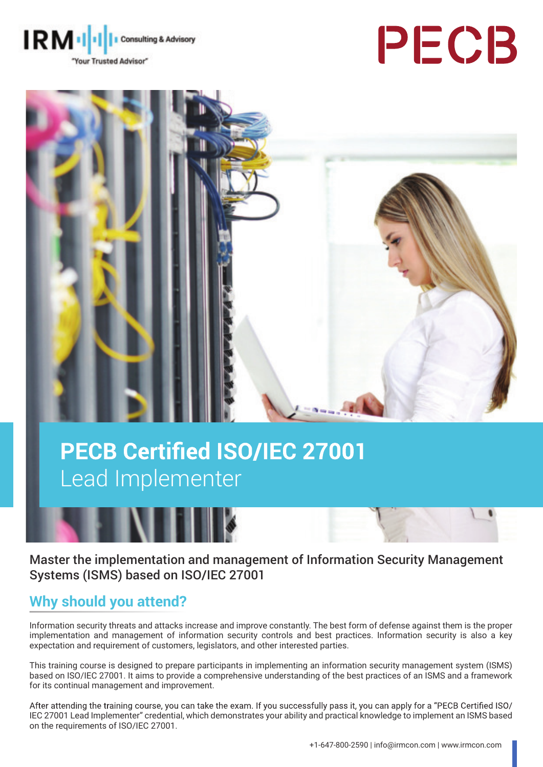





# **PECB Certified ISO/IEC 27001** Lead Implementer



Master the implementation and management of Information Security Management Systems (ISMS) based on ISO/IEC 27001

# **Why should you attend?**

Information security threats and attacks increase and improve constantly. The best form of defense against them is the proper implementation and management of information security controls and best practices. Information security is also a key expectation and requirement of customers, legislators, and other interested parties.

This training course is designed to prepare participants in implementing an information security management system (ISMS) based on ISO/IEC 27001. It aims to provide a comprehensive understanding of the best practices of an ISMS and a framework for its continual management and improvement.

After attending the training course, you can take the exam. If you successfully pass it, you can apply for a "PECB Certified ISO/ IEC 27001 Lead Implementer" credential, which demonstrates your ability and practical knowledge to implement an ISMS based on the requirements of ISO/IEC 27001.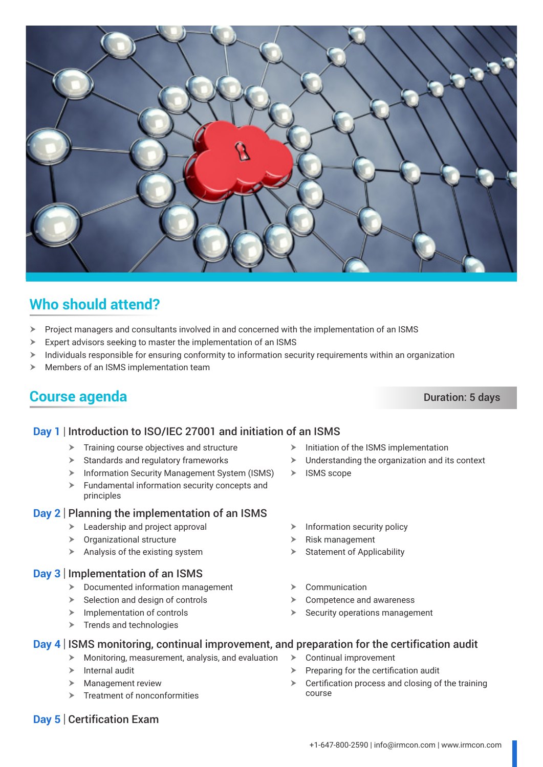$\triangleright$  Preparing for the certification audit

 $\triangleright$  Certification process and closing of the training

# **Who should attend?**

- $\triangleright$  Project managers and consultants involved in and concerned with the implementation of an ISMS
- $\triangleright$  Expert advisors seeking to master the implementation of an ISMS
- $\triangleright$  Individuals responsible for ensuring conformity to information security requirements within an organization
- $\blacktriangleright$  Members of an ISMS implementation team

# **Course agenda** Duration: 5 days

### **Day 1** Introduction to ISO/IEC 27001 and initiation of an ISMS

- $\blacktriangleright$  Training course objectives and structure
- $\blacktriangleright$  Standards and regulatory frameworks
- **EXECUTE:** Information Security Management System (ISMS)
- $\blacktriangleright$  Fundamental information security concepts and principles

#### **Day 2** Planning the implementation of an ISMS

- $\blacktriangleright$  Leadership and project approval
- $\triangleright$  Organizational structure
- $\blacktriangleright$  Analysis of the existing system

#### **Day 3** Implementation of an ISMS

- $\triangleright$  Documented information management
- $\triangleright$  Selection and design of controls
- $\blacktriangleright$  Implementation of controls
- $\triangleright$  Trends and technologies
- $\triangleright$  Initiation of the ISMS implementation  $\blacktriangleright$  Understanding the organization and its context
- $\triangleright$  ISMS scope
- $\triangleright$  Information security policy
- Risk management
- **Statement of Applicability**
- $\triangleright$  Communication
- $\triangleright$  Competence and awareness
- $\blacktriangleright$  Security operations management
- **Day 4** | ISMS monitoring, continual improvement, and preparation for the certification audit
	- $\blacktriangleright$  Monitoring, measurement, analysis, and evaluation  $\triangleright$  Continual improvement
	- $\blacktriangleright$  Internal audit
	- $\blacktriangleright$  Management review
	- $\blacktriangleright$  Treatment of nonconformities
- **Day 5** Certification Exam

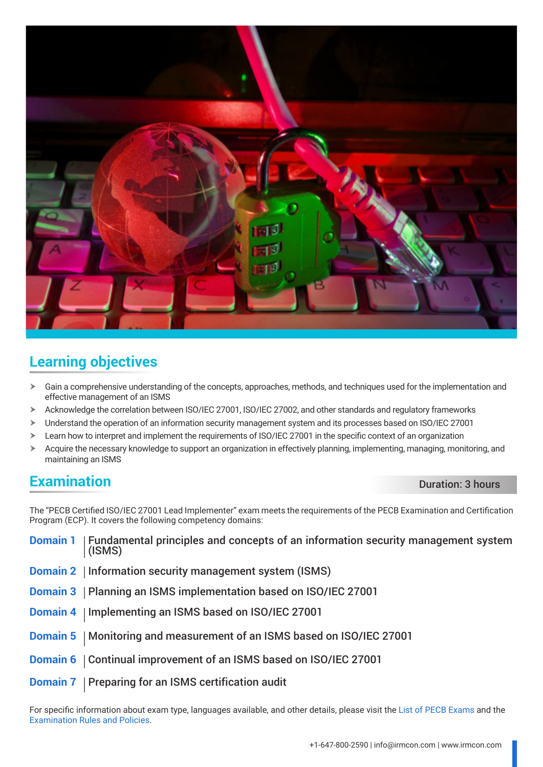

# **Learning objectives**

- h Gain a comprehensive understanding of the concepts, approaches, methods, and techniques used for the implementation and effective management of an ISMS
- $\triangleright$  Acknowledge the correlation between ISO/IEC 27001, ISO/IEC 27002, and other standards and regulatory frameworks
- > Understand the operation of an information security management system and its processes based on ISO/IEC 27001
- > Learn how to interpret and implement the requirements of ISO/IEC 27001 in the specific context of an organization
- $\triangleright$  Acquire the necessary knowledge to support an organization in effectively planning, implementing, managing, monitoring, and maintaining an ISMS

# **Examination** Duration: 3 hours

The "PECB Certified ISO/IEC 27001 Lead Implementer" exam meets the requirements of the PECB Examination and Certification Program (ECP). It covers the following competency domains:

| <b>Domain 1</b>   Fundamental principles and concepts of an information security management system<br>(ISMS) |
|--------------------------------------------------------------------------------------------------------------|
| <b>Domain 2</b>   Information security management system (ISMS)                                              |
| Domain 3   Planning an ISMS implementation based on ISO/IEC 27001                                            |
| Domain 4   Implementing an ISMS based on ISO/IEC 27001                                                       |
| Domain 5   Monitoring and measurement of an ISMS based on ISO/IEC 27001                                      |
| <b>Domain 6</b>   Continual improvement of an ISMS based on ISO/IEC 27001                                    |
| <b>Domain 7</b>   Preparing for an ISMS certification audit                                                  |

For specific information about exam type, languages available, and other details, please visit the [List of PECB Exams](https://pecb.com/help/index.php/list-of-pecb-exams/) and the [Examination Rules and Policies](https://pecb.com/en/examination-rules-and-policies).